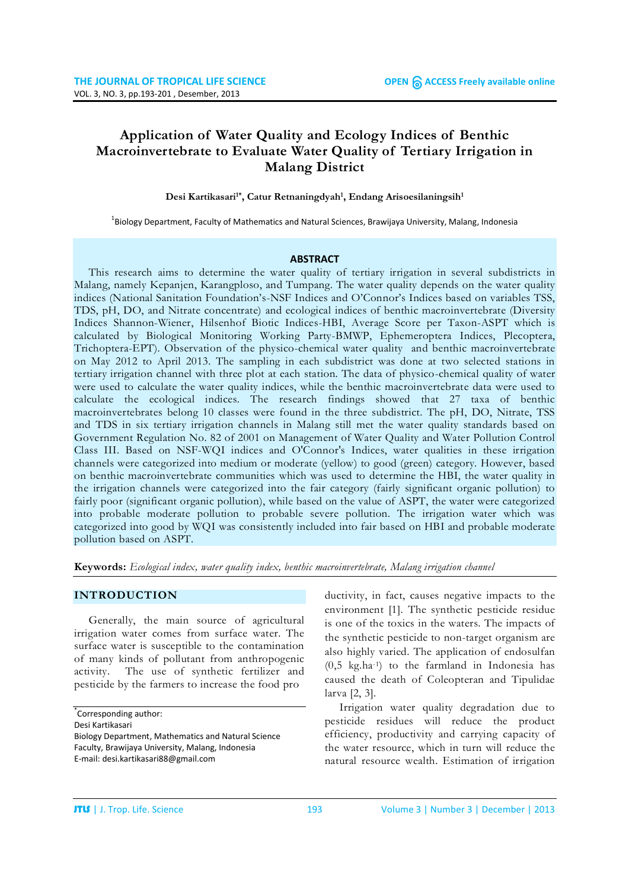# **Application of Water Quality and Ecology Indices of Benthic Macroinvertebrate to Evaluate Water Quality of Tertiary Irrigation in Malang District**

#### Desi Kartikasari<sup>1\*</sup>, Catur Retnaningdyah<sup>1</sup>, Endang Arisoesilaningsih<sup>1</sup>

<sup>1</sup>Biology Department, Faculty of Mathematics and Natural Sciences, Brawijaya University, Malang, Indonesia

#### **ABSTRACT**

This research aims to determine the water quality of tertiary irrigation in several subdistricts in Malang, namely Kepanjen, Karangploso, and Tumpang. The water quality depends on the water quality indices (National Sanitation Foundation's-NSF Indices and O'Connor's Indices based on variables TSS, TDS, pH, DO, and Nitrate concentrate) and ecological indices of benthic macroinvertebrate (Diversity Indices Shannon-Wiener, Hilsenhof Biotic Indices-HBI, Average Score per Taxon-ASPT which is calculated by Biological Monitoring Working Party-BMWP, Ephemeroptera Indices, Plecoptera, Trichoptera-EPT). Observation of the physico-chemical water quality and benthic macroinvertebrate on May 2012 to April 2013. The sampling in each subdistrict was done at two selected stations in tertiary irrigation channel with three plot at each station. The data of physico-chemical quality of water were used to calculate the water quality indices, while the benthic macroinvertebrate data were used to calculate the ecological indices. The research findings showed that 27 taxa of benthic macroinvertebrates belong 10 classes were found in the three subdistrict. The pH, DO, Nitrate, TSS and TDS in six tertiary irrigation channels in Malang still met the water quality standards based on Government Regulation No. 82 of 2001 on Management of Water Quality and Water Pollution Control Class III. Based on NSF-WQI indices and O'Connor's Indices, water qualities in these irrigation channels were categorized into medium or moderate (yellow) to good (green) category. However, based on benthic macroinvertebrate communities which was used to determine the HBI, the water quality in the irrigation channels were categorized into the fair category (fairly significant organic pollution) to fairly poor (significant organic pollution), while based on the value of ASPT, the water were categorized into probable moderate pollution to probable severe pollution. The irrigation water which was categorized into good by WQI was consistently included into fair based on HBI and probable moderate pollution based on ASPT.

**Keywords:** *Ecological index, water quality index, benthic macroinvertebrate, Malang irrigation channel*

### **INTRODUCTION**

Generally, the main source of agricultural irrigation water comes from surface water. The surface water is susceptible to the contamination of many kinds of pollutant from anthropogenic activity. The use of synthetic fertilizer and pesticide by the farmers to increase the food pro

ductivity, in fact, causes negative impacts to the environment [1]. The synthetic pesticide residue is one of the toxics in the waters. The impacts of the synthetic pesticide to non-target organism are also highly varied. The application of endosulfan (0,5 kg.ha-1) to the farmland in Indonesia has caused the death of Coleopteran and Tipulidae larva [2, 3].

Irrigation water quality degradation due to pesticide residues will reduce the product efficiency, productivity and carrying capacity of the water resource, which in turn will reduce the natural resource wealth. Estimation of irrigation

<sup>\*</sup> Corresponding author:

Desi Kartikasari

Biology Department, Mathematics and Natural Science Faculty, Brawijaya University, Malang, Indonesia E-mail: desi.kartikasari88@gmail.com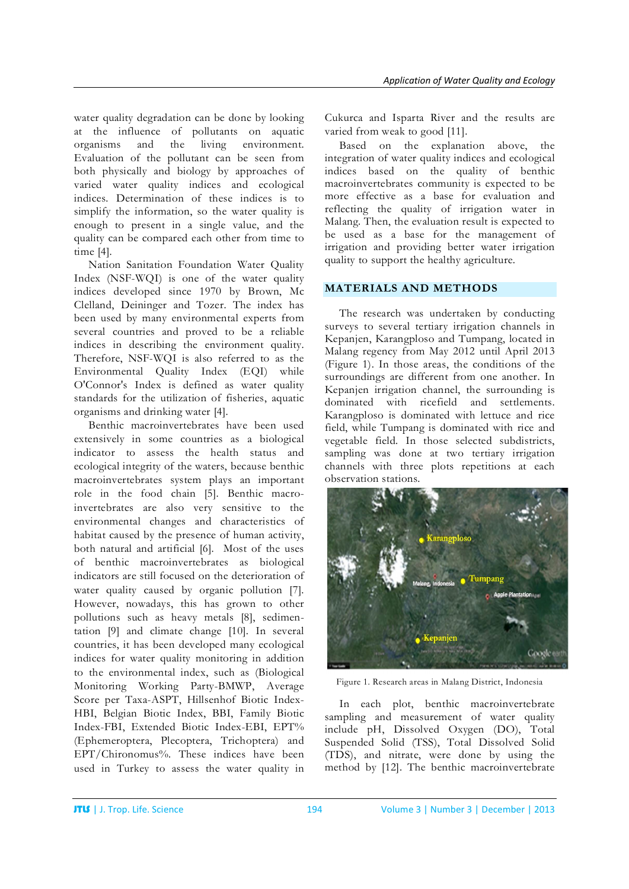water quality degradation can be done by looking at the influence of pollutants on aquatic organisms and the living environment. Evaluation of the pollutant can be seen from both physically and biology by approaches of varied water quality indices and ecological indices. Determination of these indices is to simplify the information, so the water quality is enough to present in a single value, and the quality can be compared each other from time to time [4].

Nation Sanitation Foundation Water Quality Index (NSF-WQI) is one of the water quality indices developed since 1970 by Brown, Mc Clelland, Deininger and Tozer. The index has been used by many environmental experts from several countries and proved to be a reliable indices in describing the environment quality. Therefore, NSF-WQI is also referred to as the Environmental Quality Index (EQI) while O'Connor's Index is defined as water quality standards for the utilization of fisheries, aquatic organisms and drinking water [4].

Benthic macroinvertebrates have been used extensively in some countries as a biological indicator to assess the health status and ecological integrity of the waters, because benthic macroinvertebrates system plays an important role in the food chain [5]. Benthic macroinvertebrates are also very sensitive to the environmental changes and characteristics of habitat caused by the presence of human activity, both natural and artificial [6]. Most of the uses of benthic macroinvertebrates as biological indicators are still focused on the deterioration of water quality caused by organic pollution [7]. However, nowadays, this has grown to other pollutions such as heavy metals [8], sedimentation [9] and climate change [10]. In several countries, it has been developed many ecological indices for water quality monitoring in addition to the environmental index, such as (Biological Monitoring Working Party-BMWP, Average Score per Taxa-ASPT, Hillsenhof Biotic Index-HBI, Belgian Biotic Index, BBI, Family Biotic Index-FBI, Extended Biotic Index-EBI, EPT% (Ephemeroptera, Plecoptera, Trichoptera) and EPT/Chironomus%. These indices have been used in Turkey to assess the water quality in

Cukurca and Isparta River and the results are varied from weak to good [11].

Based on the explanation above, the integration of water quality indices and ecological indices based on the quality of benthic macroinvertebrates community is expected to be more effective as a base for evaluation and reflecting the quality of irrigation water in Malang. Then, the evaluation result is expected to be used as a base for the management of irrigation and providing better water irrigation quality to support the healthy agriculture.

## **MATERIALS AND METHODS**

The research was undertaken by conducting surveys to several tertiary irrigation channels in Kepanjen, Karangploso and Tumpang, located in Malang regency from May 2012 until April 2013 (Figure 1). In those areas, the conditions of the surroundings are different from one another. In Kepanjen irrigation channel, the surrounding is dominated with ricefield and settlements. Karangploso is dominated with lettuce and rice field, while Tumpang is dominated with rice and vegetable field. In those selected subdistricts, sampling was done at two tertiary irrigation channels with three plots repetitions at each observation stations.



Figure 1. Research areas in Malang District, Indonesia

In each plot, benthic macroinvertebrate sampling and measurement of water quality include pH, Dissolved Oxygen (DO), Total Suspended Solid (TSS), Total Dissolved Solid (TDS), and nitrate, were done by using the method by [12]. The benthic macroinvertebrate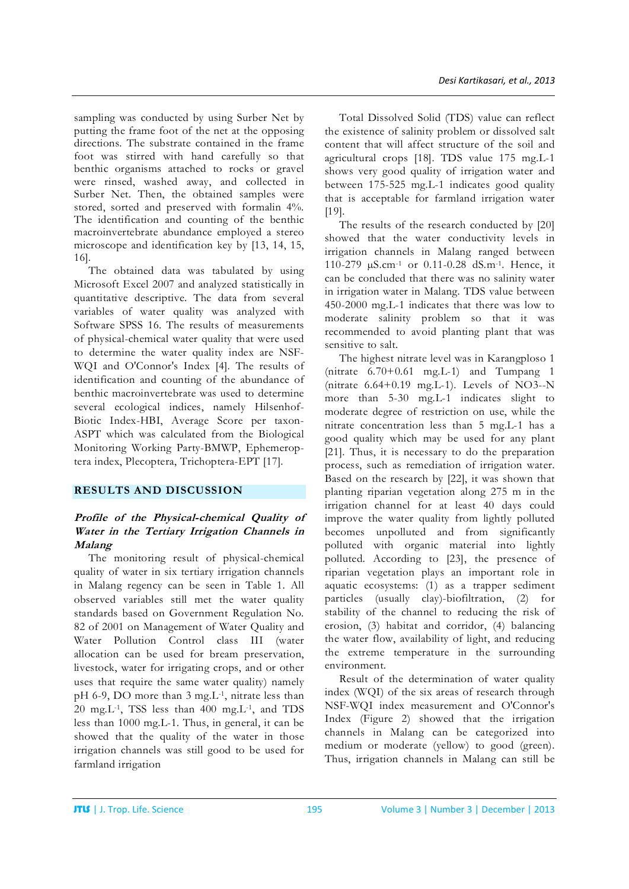sampling was conducted by using Surber Net by putting the frame foot of the net at the opposing directions. The substrate contained in the frame foot was stirred with hand carefully so that benthic organisms attached to rocks or gravel were rinsed, washed away, and collected in Surber Net. Then, the obtained samples were stored, sorted and preserved with formalin 4%. The identification and counting of the benthic macroinvertebrate abundance employed a stereo microscope and identification key by [13, 14, 15, 16].

The obtained data was tabulated by using Microsoft Excel 2007 and analyzed statistically in quantitative descriptive. The data from several variables of water quality was analyzed with Software SPSS 16. The results of measurements of physical-chemical water quality that were used to determine the water quality index are NSF-WQI and O'Connor's Index [4]. The results of identification and counting of the abundance of benthic macroinvertebrate was used to determine several ecological indices, namely Hilsenhof-Biotic Index-HBI, Average Score per taxon-ASPT which was calculated from the Biological Monitoring Working Party-BMWP, Ephemeroptera index, Plecoptera, Trichoptera-EPT [17].

## **RESULTS AND DISCUSSION**

## **Profile of the Physical-chemical Quality of Water in the Tertiary Irrigation Channels in Malang**

The monitoring result of physical-chemical quality of water in six tertiary irrigation channels in Malang regency can be seen in Table 1. All observed variables still met the water quality standards based on Government Regulation No. 82 of 2001 on Management of Water Quality and Water Pollution Control class III (water allocation can be used for bream preservation, livestock, water for irrigating crops, and or other uses that require the same water quality) namely pH 6-9, DO more than 3 mg.L-1, nitrate less than 20 mg.L-1, TSS less than 400 mg.L-1, and TDS less than 1000 mg.L-1. Thus, in general, it can be showed that the quality of the water in those irrigation channels was still good to be used for farmland irrigation

Total Dissolved Solid (TDS) value can reflect the existence of salinity problem or dissolved salt content that will affect structure of the soil and agricultural crops [18]. TDS value 175 mg.L-1 shows very good quality of irrigation water and between 175-525 mg.L-1 indicates good quality that is acceptable for farmland irrigation water [19].

The results of the research conducted by [20] showed that the water conductivity levels in irrigation channels in Malang ranged between 110-279 µS.cm-1 or 0.11-0.28 dS.m-1. Hence, it can be concluded that there was no salinity water in irrigation water in Malang. TDS value between 450-2000 mg.L-1 indicates that there was low to moderate salinity problem so that it was recommended to avoid planting plant that was sensitive to salt.

The highest nitrate level was in Karangploso 1 (nitrate  $6.70+0.61$  mg.L-1) and Tumpang 1 (nitrate 6.64+0.19 mg.L-1). Levels of NO3--N more than 5-30 mg.L-1 indicates slight to moderate degree of restriction on use, while the nitrate concentration less than 5 mg.L-1 has a good quality which may be used for any plant [21]. Thus, it is necessary to do the preparation process, such as remediation of irrigation water. Based on the research by [22], it was shown that planting riparian vegetation along 275 m in the irrigation channel for at least 40 days could improve the water quality from lightly polluted becomes unpolluted and from significantly polluted with organic material into lightly polluted. According to [23], the presence of riparian vegetation plays an important role in aquatic ecosystems: (1) as a trapper sediment particles (usually clay)-biofiltration, (2) for stability of the channel to reducing the risk of erosion, (3) habitat and corridor, (4) balancing the water flow, availability of light, and reducing the extreme temperature in the surrounding environment.

Result of the determination of water quality index (WQI) of the six areas of research through NSF-WQI index measurement and O'Connor's Index (Figure 2) showed that the irrigation channels in Malang can be categorized into medium or moderate (yellow) to good (green). Thus, irrigation channels in Malang can still be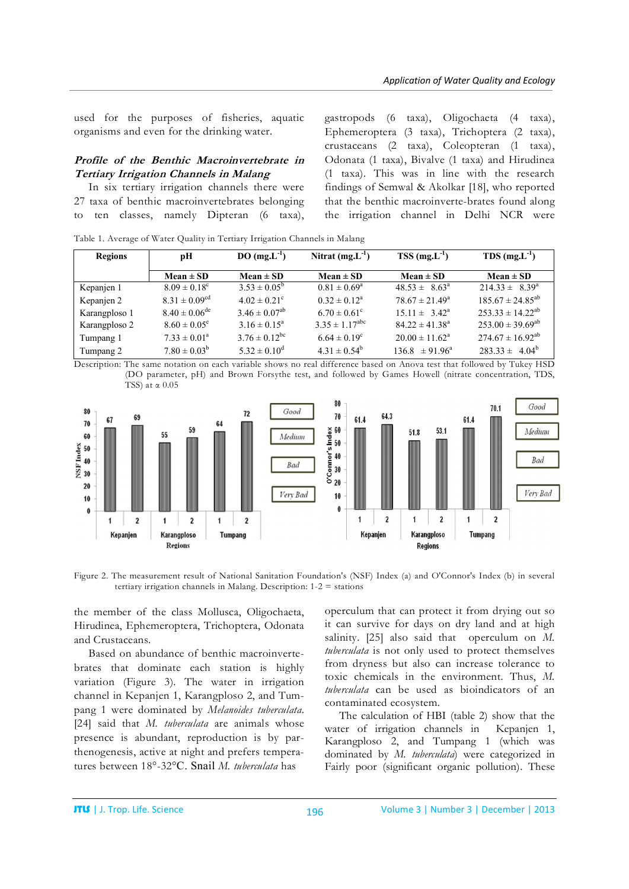used for the purposes of fisheries, aquatic organisms and even for the drinking water.

### **Profile of the Benthic Macroinvertebrate in Tertiary Irrigation Channels in Malang**

In six tertiary irrigation channels there were 27 taxa of benthic macroinvertebrates belonging to ten classes, namely Dipteran (6 taxa),

gastropods (6 taxa), Oligochaeta (4 taxa), Ephemeroptera (3 taxa), Trichoptera (2 taxa), crustaceans (2 taxa), Coleopteran (1 taxa), Odonata (1 taxa), Bivalve (1 taxa) and Hirudinea (1 taxa). This was in line with the research findings of Semwal & Akolkar [18], who reported that the benthic macroinverte-brates found along the irrigation channel in Delhi NCR were

Table 1. Average of Water Quality in Tertiary Irrigation Channels in Malang

| Regions       | pН                           | $DO(mg.L^{-1})$              | Nitrat $(mg.L^{-1})$         | $TSS$ (mg.L <sup>-1</sup> ) | $TDS$ (mg, $L^{-1}$ )   |
|---------------|------------------------------|------------------------------|------------------------------|-----------------------------|-------------------------|
|               | $Mean \pm SD$                | Mean $\pm$ SD                | Mean $\pm$ SD                | $Mean \pm SD$               | Mean $\pm$ SD           |
| Kepanjen 1    | $8.09 \pm 0.18$ <sup>c</sup> | $3.53 \pm 0.05^b$            | $0.81 \pm 0.69^{\circ}$      | $48.53 \pm 8.63^{\circ}$    | $214.33 \pm 8.39^a$     |
| Kepanjen 2    | $8.31 \pm 0.09^{cd}$         | $4.02 \pm 0.21$ <sup>c</sup> | $0.32 \pm 0.12^a$            | $78.67 \pm 21.49^{\circ}$   | $185.67 \pm 24.85^{ab}$ |
| Karangploso 1 | $8.40 \pm 0.06^{\text{de}}$  | $3.46 \pm 0.07^{ab}$         | $6.70 \pm 0.61^{\circ}$      | $15.11 \pm 3.42^{\text{a}}$ | $253.33 \pm 14.22^{ab}$ |
| Karangploso 2 | $8.60 \pm 0.05^e$            | $3.16 \pm 0.15^a$            | $3.35 \pm 1.17^{\text{abc}}$ | $84.22 \pm 41.38^a$         | $253.00 \pm 39.69^{ab}$ |
| Tumpang 1     | $7.33 \pm 0.01^a$            | $3.76 \pm 0.12^{bc}$         | $6.64 \pm 0.19^c$            | $20.00 \pm 11.62^{\circ}$   | $274.67 \pm 16.92^{ab}$ |
| Tumpang 2     | $7.80 \pm 0.03^b$            | $5.32 \pm 0.10^d$            | $4.31 \pm 0.54^b$            | $136.8 \pm 91.96^a$         | $283.33 \pm 4.04^b$     |

Description: The same notation on each variable shows no real difference based on Anova test that followed by Tukey HSD (DO parameter, pH) and Brown Forsythe test, and followed by Games Howell (nitrate concentration, TDS, TSS) at α 0.05



Figure 2. The measurement result of National Sanitation Foundation's (NSF) Index (a) and O'Connor's Index (b) in several tertiary irrigation channels in Malang. Description: 1-2 = stations

the member of the class Mollusca, Oligochaeta, Hirudinea, Ephemeroptera, Trichoptera, Odonata and Crustaceans.

Based on abundance of benthic macroinvertebrates that dominate each station is highly variation (Figure 3). The water in irrigation channel in Kepanjen 1, Karangploso 2, and Tumpang 1 were dominated by *Melanoides tuberculata*. [24] said that *M. tuberculata* are animals whose presence is abundant, reproduction is by parthenogenesis, active at night and prefers temperatures between 18°-32°C. Snail *M. tuberculata* has

operculum that can protect it from drying out so it can survive for days on dry land and at high salinity. [25] also said that operculum on *M. tuberculata* is not only used to protect themselves from dryness but also can increase tolerance to toxic chemicals in the environment. Thus, *M. tuberculata* can be used as bioindicators of an contaminated ecosystem.

The calculation of HBI (table 2) show that the water of irrigation channels in Kepanjen 1, Karangploso 2, and Tumpang 1 (which was dominated by *M. tuberculata*) were categorized in Fairly poor (significant organic pollution). These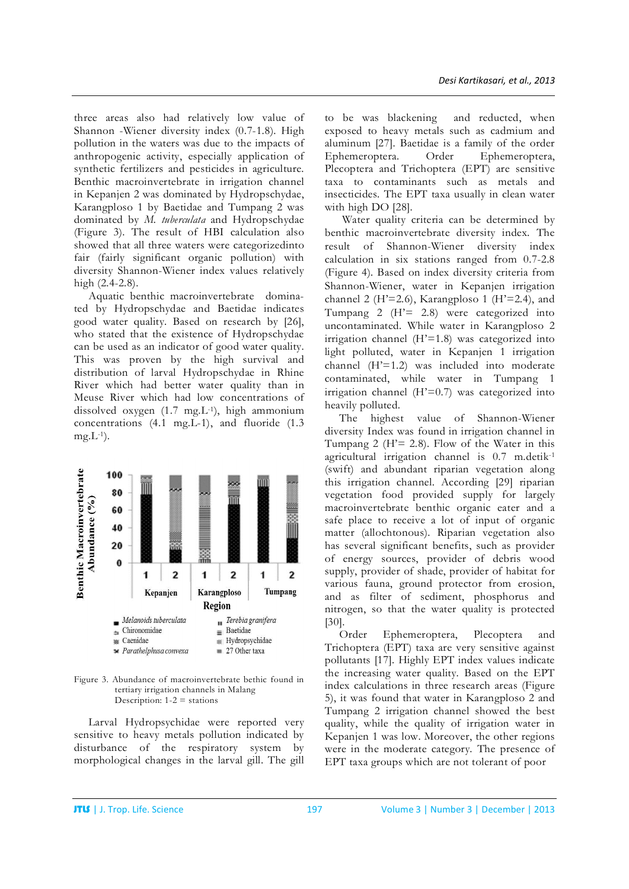three areas also had relatively low value of Shannon -Wiener diversity index (0.7-1.8). High pollution in the waters was due to the impacts of anthropogenic activity, especially application of synthetic fertilizers and pesticides in agriculture. Benthic macroinvertebrate in irrigation channel in Kepanjen 2 was dominated by Hydropschydae, Karangploso 1 by Baetidae and Tumpang 2 was dominated by *M. tuberculata* and Hydropschydae (Figure 3). The result of HBI calculation also showed that all three waters were categorizedinto fair (fairly significant organic pollution) with diversity Shannon-Wiener index values relatively high (2.4-2.8).

Aquatic benthic macroinvertebrate dominated by Hydropschydae and Baetidae indicates good water quality. Based on research by [26], who stated that the existence of Hydropschydae can be used as an indicator of good water quality. This was proven by the high survival and distribution of larval Hydropschydae in Rhine River which had better water quality than in Meuse River which had low concentrations of dissolved oxygen (1.7 mg.L-1), high ammonium concentrations (4.1 mg.L-1), and fluoride (1.3  $mg.L^{-1}$ ).



Figure 3. Abundance of macroinvertebrate bethic found in tertiary irrigation channels in Malang Description:  $1-2$  = stations

Larval Hydropsychidae were reported very sensitive to heavy metals pollution indicated by disturbance of the respiratory system by morphological changes in the larval gill. The gill

to be was blackening and reducted, when exposed to heavy metals such as cadmium and aluminum [27]. Baetidae is a family of the order Ephemeroptera. Order Ephemeroptera, Plecoptera and Trichoptera (EPT) are sensitive taxa to contaminants such as metals and insecticides. The EPT taxa usually in clean water with high DO [28].

Water quality criteria can be determined by benthic macroinvertebrate diversity index. The result of Shannon-Wiener diversity index calculation in six stations ranged from 0.7-2.8 (Figure 4). Based on index diversity criteria from Shannon-Wiener, water in Kepanjen irrigation channel 2 ( $H' = 2.6$ ), Karangploso 1 ( $H' = 2.4$ ), and Tumpang  $2$  ( $H' = 2.8$ ) were categorized into uncontaminated. While water in Karangploso 2 irrigation channel (H'=1.8) was categorized into light polluted, water in Kepanjen 1 irrigation channel (H'=1.2) was included into moderate contaminated, while water in Tumpang 1 irrigation channel (H'=0.7) was categorized into heavily polluted.

The highest value of Shannon-Wiener diversity Index was found in irrigation channel in Tumpang 2 ( $H' = 2.8$ ). Flow of the Water in this agricultural irrigation channel is 0.7 m.detik-1 (swift) and abundant riparian vegetation along this irrigation channel. According [29] riparian vegetation food provided supply for largely macroinvertebrate benthic organic eater and a safe place to receive a lot of input of organic matter (allochtonous). Riparian vegetation also has several significant benefits, such as provider of energy sources, provider of debris wood supply, provider of shade, provider of habitat for various fauna, ground protector from erosion, and as filter of sediment, phosphorus and nitrogen, so that the water quality is protected [30].

Order Ephemeroptera, Plecoptera and Trichoptera (EPT) taxa are very sensitive against pollutants [17]. Highly EPT index values indicate the increasing water quality. Based on the EPT index calculations in three research areas (Figure 5), it was found that water in Karangploso 2 and Tumpang 2 irrigation channel showed the best quality, while the quality of irrigation water in Kepanjen 1 was low. Moreover, the other regions were in the moderate category. The presence of EPT taxa groups which are not tolerant of poor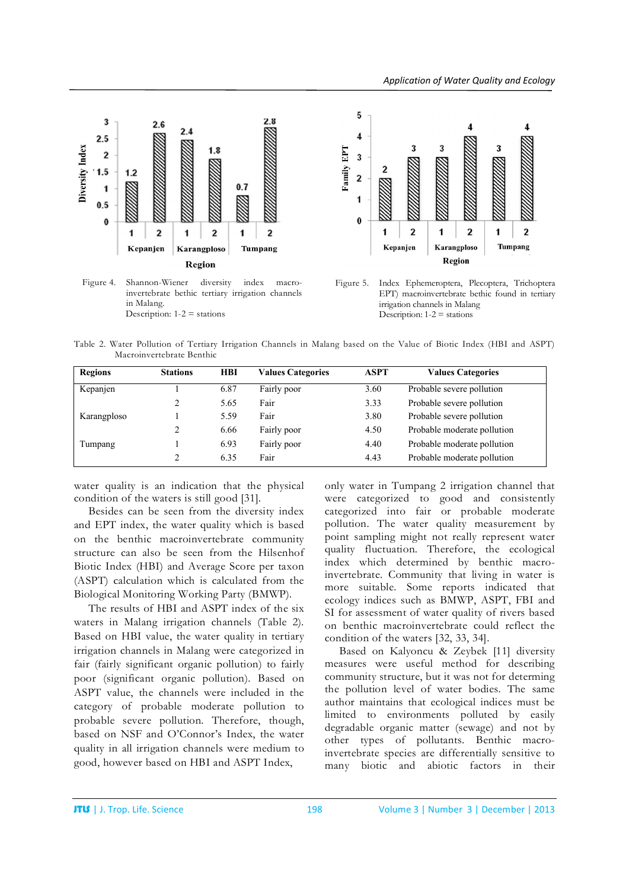

Figure 4. Shannon-Wiener diversity index macroinvertebrate bethic tertiary irrigation channels in Malang. Description:  $1-2$  = stations



Figure 5. Index Ephemeroptera, Plecoptera, Trichoptera EPT) macroinvertebrate bethic found in tertiary irrigation channels in Malang Description:  $1-2$  = stations

Table 2. Water Pollution of Tertiary Irrigation Channels in Malang based on the Value of Biotic Index (HBI and ASPT) Macroinvertebrate Benthic

| <b>Regions</b> | <b>Stations</b> | <b>HBI</b> | <b>Values Categories</b> | ASPT | <b>Values Categories</b>    |
|----------------|-----------------|------------|--------------------------|------|-----------------------------|
| Kepanjen       |                 | 6.87       | Fairly poor              | 3.60 | Probable severe pollution   |
|                | 2               | 5.65       | Fair                     | 3.33 | Probable severe pollution   |
| Karangploso    |                 | 5.59       | Fair                     | 3.80 | Probable severe pollution   |
|                | $\gamma$        | 6.66       | Fairly poor              | 4.50 | Probable moderate pollution |
| Tumpang        |                 | 6.93       | Fairly poor              | 4.40 | Probable moderate pollution |
|                | 2               | 6.35       | Fair                     | 4.43 | Probable moderate pollution |

water quality is an indication that the physical condition of the waters is still good [31].

Besides can be seen from the diversity index and EPT index, the water quality which is based on the benthic macroinvertebrate community structure can also be seen from the Hilsenhof Biotic Index (HBI) and Average Score per taxon (ASPT) calculation which is calculated from the Biological Monitoring Working Party (BMWP).

The results of HBI and ASPT index of the six waters in Malang irrigation channels (Table 2). Based on HBI value, the water quality in tertiary irrigation channels in Malang were categorized in fair (fairly significant organic pollution) to fairly poor (significant organic pollution). Based on ASPT value, the channels were included in the category of probable moderate pollution to probable severe pollution. Therefore, though, based on NSF and O'Connor's Index, the water quality in all irrigation channels were medium to good, however based on HBI and ASPT Index,

only water in Tumpang 2 irrigation channel that were categorized to good and consistently categorized into fair or probable moderate pollution. The water quality measurement by point sampling might not really represent water quality fluctuation. Therefore, the ecological index which determined by benthic macroinvertebrate. Community that living in water is more suitable. Some reports indicated that ecology indices such as BMWP, ASPT, FBI and SI for assessment of water quality of rivers based on benthic macroinvertebrate could reflect the condition of the waters [32, 33, 34].

Based on Kalyoncu & Zeybek [11] diversity measures were useful method for describing community structure, but it was not for determing the pollution level of water bodies. The same author maintains that ecological indices must be limited to environments polluted by easily degradable organic matter (sewage) and not by other types of pollutants. Benthic macroinvertebrate species are differentially sensitive to many biotic and abiotic factors in their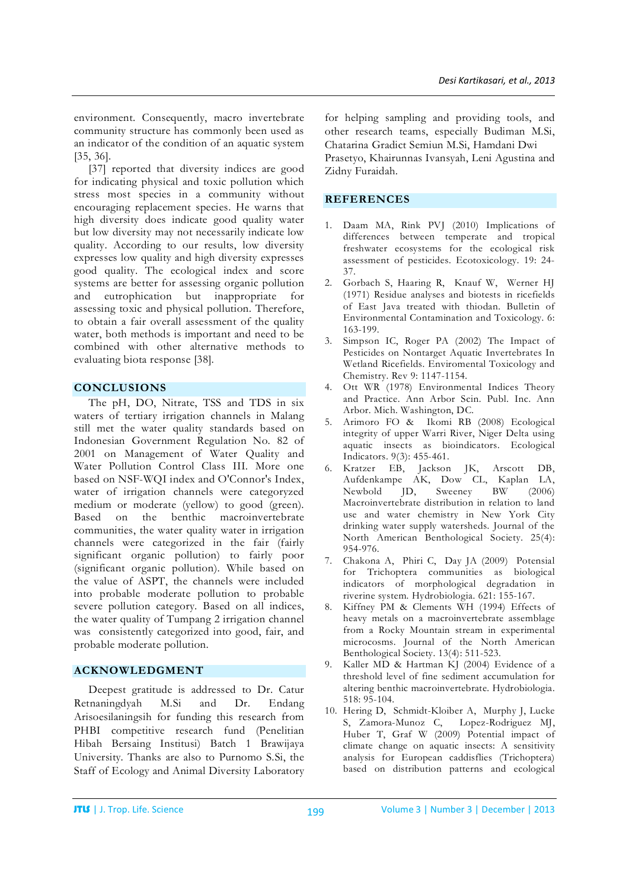environment. Consequently, macro invertebrate community structure has commonly been used as an indicator of the condition of an aquatic system [35, 36].

[37] reported that diversity indices are good for indicating physical and toxic pollution which stress most species in a community without encouraging replacement species. He warns that high diversity does indicate good quality water but low diversity may not necessarily indicate low quality. According to our results, low diversity expresses low quality and high diversity expresses good quality. The ecological index and score systems are better for assessing organic pollution and eutrophication but inappropriate for assessing toxic and physical pollution. Therefore, to obtain a fair overall assessment of the quality water, both methods is important and need to be combined with other alternative methods to evaluating biota response [38].

## **CONCLUSIONS**

The pH, DO, Nitrate, TSS and TDS in six waters of tertiary irrigation channels in Malang still met the water quality standards based on Indonesian Government Regulation No. 82 of 2001 on Management of Water Quality and Water Pollution Control Class III. More one based on NSF-WQI index and O'Connor's Index, water of irrigation channels were categoryzed medium or moderate (yellow) to good (green). Based on the benthic macroinvertebrate communities, the water quality water in irrigation channels were categorized in the fair (fairly significant organic pollution) to fairly poor (significant organic pollution). While based on the value of ASPT, the channels were included into probable moderate pollution to probable severe pollution category. Based on all indices, the water quality of Tumpang 2 irrigation channel was consistently categorized into good, fair, and probable moderate pollution.

## **ACKNOWLEDGMENT**

Deepest gratitude is addressed to Dr. Catur Retnaningdyah M.Si and Dr. Endang Arisoesilaningsih for funding this research from PHBI competitive research fund (Penelitian Hibah Bersaing Institusi) Batch 1 Brawijaya University. Thanks are also to Purnomo S.Si, the Staff of Ecology and Animal Diversity Laboratory

for helping sampling and providing tools, and other research teams, especially Budiman M.Si, Chatarina Gradict Semiun M.Si, Hamdani Dwi

Prasetyo, Khairunnas Ivansyah, Leni Agustina and Zidny Furaidah.

## **REFERENCES**

- 1. Daam MA, Rink PVJ (2010) Implications of differences between temperate and tropical freshwater ecosystems for the ecological risk assessment of pesticides. Ecotoxicology. 19: 24- 37.
- 2. Gorbach S, Haaring R, Knauf W, Werner HJ (1971) Residue analyses and biotests in ricefields of East Java treated with thiodan. Bulletin of Environmental Contamination and Toxicology. 6: 163-199.
- 3. Simpson IC, Roger PA (2002) The Impact of Pesticides on Nontarget Aquatic Invertebrates In Wetland Ricefields. Enviromental Toxicology and Chemistry. Rev 9: 1147-1154.
- 4. Ott WR (1978) Environmental Indices Theory and Practice. Ann Arbor Scin. Publ. Inc. Ann Arbor. Mich. Washington, DC.
- 5. Arimoro FO & Ikomi RB (2008) Ecological integrity of upper Warri River, Niger Delta using aquatic insects as bioindicators. Ecological Indicators. 9(3): 455-461.
- 6. Kratzer EB, Jackson JK, Arscott DB, Aufdenkampe AK, Dow CL, Kaplan LA, Newbold JD, Sweeney BW (2006) Macroinvertebrate distribution in relation to land use and water chemistry in New York City drinking water supply watersheds. Journal of the North American Benthological Society. 25(4): 954-976.
- 7. Chakona A, Phiri C, Day JA (2009) Potensial for Trichoptera communities as biological indicators of morphological degradation in riverine system. Hydrobiologia. 621: 155-167.
- Kiffney PM & Clements WH (1994) Effects of heavy metals on a macroinvertebrate assemblage from a Rocky Mountain stream in experimental microcosms. Journal of the North American Benthological Society. 13(4): 511-523.
- 9. Kaller MD & Hartman KJ (2004) Evidence of a threshold level of fine sediment accumulation for altering benthic macroinvertebrate. Hydrobiologia. 518: 95-104.
- 10. Hering D, Schmidt-Kloiber A, Murphy J, Lucke S, Zamora-Munoz C, Lopez-Rodriguez MJ, Huber T, Graf W (2009) Potential impact of climate change on aquatic insects: A sensitivity analysis for European caddisflies (Trichoptera) based on distribution patterns and ecological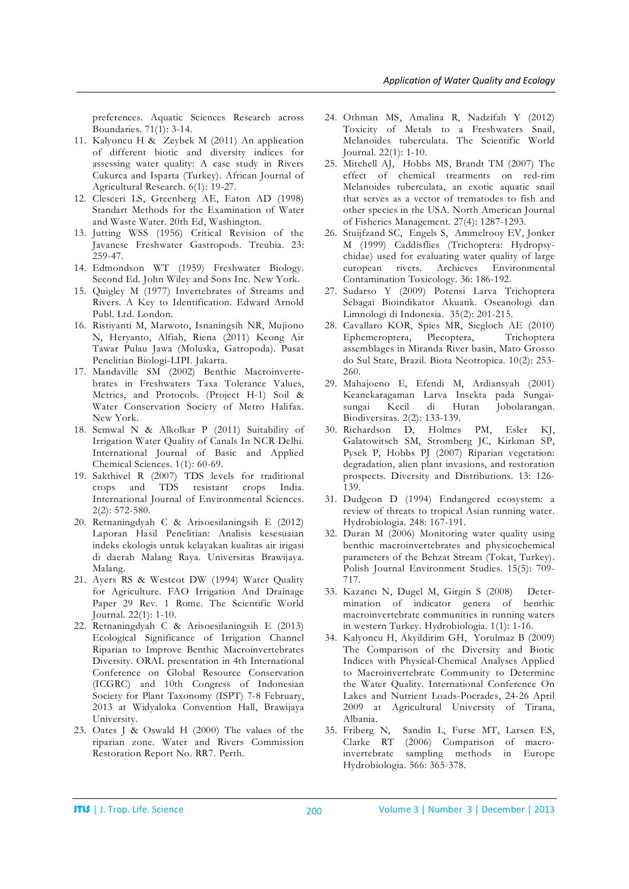preferences. Aquatic Sciences Research across Boundaries. 71(1): 3-14.

- 11. Kalyoncu H & Zeybek M (2011) An application of different biotic and diversity indices for assessing water quality: A case study in Rivers Cukurca and Isparta (Turkey). African Journal of Agricultural Research. 6(1): 19-27.
- 12. Clesceri LS, Greenberg AE, Eaton AD (1998) Standart Methods for the Examination of Water and Waste Water. 20th Ed, Washington.
- 13. Jutting WSS (1956) Critical Revision of the Javanese Freshwater Gastropods. Treubia. 23: 259-47.
- 14. Edmondson WT (1959) Freshwater Biology. Second Ed. John Wiley and Sons Inc. New York.
- 15. Quigley M (1977) Invertebrates of Streams and Rivers. A Key to Identification. Edward Arnold Publ. Ltd. London.
- 16. Ristiyanti M, Marwoto, Isnaningsih NR, Mujiono N, Heryanto, Alfiah, Riena (2011) Keong Air Tawar Pulau Jawa (Moluska, Gatropoda). Pusat Penelitian Biologi-LIPI. Jakarta.
- 17. Mandaville SM (2002) Benthic Macroinvertebrates in Freshwaters Taxa Tolerance Values, Metrics, and Protocols. (Project H-1) Soil & Water Conservation Society of Metro Halifax. New York.
- 18. Semwal N & Alkolkar P (2011) Suitability of Irrigation Water Quality of Canals In NCR Delhi. International Journal of Basic and Applied Chemical Sciences. 1(1): 60-69.
- 19. Sakthivel R (2007) TDS levels for traditional crops and TDS resistant crops India. International Journal of Environmental Sciences. 2(2): 572-580.
- 20. Retnaningdyah C & Arisoesilaningsih E (2012) Laporan Hasil Penelitian: Analisis kesesuaian indeks ekologis untuk kelayakan kualitas air irigasi di daerah Malang Raya. Universitas Brawijaya. Malang.
- 21. Ayers RS & Westcot DW (1994) Water Quality for Agriculture. FAO Irrigation And Drainage Paper 29 Rev. 1 Rome. The Scientific World Journal. 22(1): 1-10.
- 22. Retnaningdyah C & Arisoesilaningsih E (2013) Ecological Significance of Irrigation Channel Riparian to Improve Benthic Macroinvertebrates Diversity. ORAL presentation in 4th International Conference on Global Resource Conservation (ICGRC) and 10th Congress of Indonesian Society for Plant Taxonomy (ISPT) 7-8 February, 2013 at Widyaloka Convention Hall, Brawijaya University.
- 23. Oates J & Oswald H (2000) The values of the riparian zone. Water and Rivers Commission Restoration Report No. RR7. Perth.
- 24. Othman MS, Amalina R, Nadzifah Y (2012) Toxicity of Metals to a Freshwaters Snail, Melanoides tuberculata. The Scientific World Journal. 22(1): 1-10.
- 25. Mitchell AJ, Hobbs MS, Brandt TM (2007) The effect of chemical treatments on red-rim Melanoides tuberculata, an exotic aquatic snail that serves as a vector of trematodes to fish and other species in the USA. North American Journal of Fisheries Management. 27(4): 1287-1293.
- 26. Stuijfzand SC, Engels S, Ammelrooy EV, Jonker M (1999) Caddisflies (Trichoptera: Hydropsychidae) used for evaluating water quality of large european rivers. Archieves Environmental Contamination Toxicology. 36: 186-192.
- 27. Sudarso Y (2009) Potensi Larva Trichoptera Sebagai Bioindikator Akuatik. Oseanologi dan Limnologi di Indonesia. 35(2): 201-215.
- 28. Cavallaro KOR, Spies MR, Siegloch AE (2010) Ephemeroptera, Plecoptera, Trichoptera assemblages in Miranda River basin, Mato Grosso do Sul State, Brazil. Biota Neotropica. 10(2): 253- 260.
- 29. Mahajoeno E, Efendi M, Ardiansyah (2001) Keanekaragaman Larva Insekta pada Sungaisungai Kecil di Hutan Jobolarangan. Biodiversitas. 2(2): 133-139.
- 30. Richardson D, Holmes PM, Esler KJ, Galatowitsch SM, Stromberg JC, Kirkman SP, Pysek P, Hobbs PJ (2007) Riparian vegetation: degradation, alien plant invasions, and restoration prospects. Diversity and Distributions. 13: 126- 139.
- 31. Dudgeon D (1994) Endangered ecosystem: a review of threats to tropical Asian running water. Hydrobiologia. 248: 167-191.
- 32. Duran M (2006) Monitoring water quality using benthic macroinvertebrates and physicochemical parameters of the Behzat Stream (Tokat, Turkey). Polish Journal Environment Studies. 15(5): 709- 717.
- 33. Kazancı N, Dugel M, Girgin S (2008) Determination of indicator genera of benthic macroinvertebrate communities in running waters in western Turkey. Hydrobiologia. 1(1): 1-16.
- 34. Kalyoncu H, Akyildirim GH, Yorulmaz B (2009) The Comparison of the Diversity and Biotic Indices with Physical-Chemical Analyses Applied to Macroinvertebrate Community to Determine the Water Quality. International Conference On Lakes and Nutrient Loads-Pocrades, 24-26 April 2009 at Agricultural University of Tirana, Albania.
- 35. Friberg N, Sandin L, Furse MT, Larsen ES, Clarke RT (2006) Comparison of macroinvertebrate sampling methods in Europe Hydrobiologia. 566: 365-378.